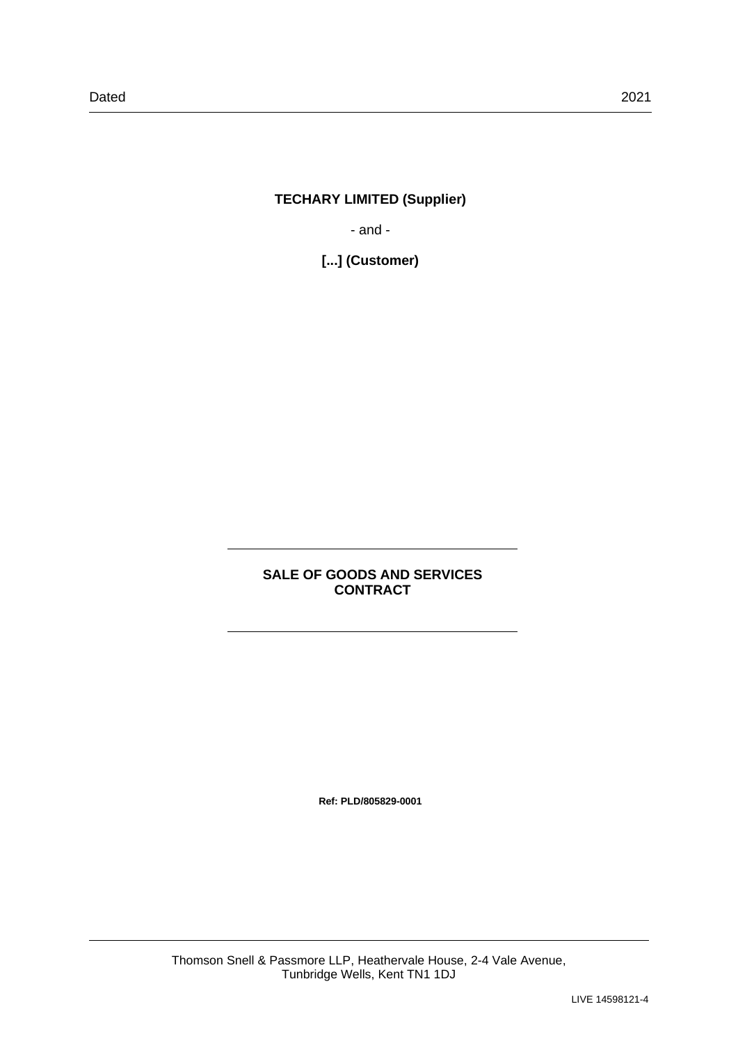# **TECHARY LIMITED (Supplier)**

- and -

**[...] (Customer)**

# **SALE OF GOODS AND SERVICES CONTRACT**

**Ref: PLD/805829-0001**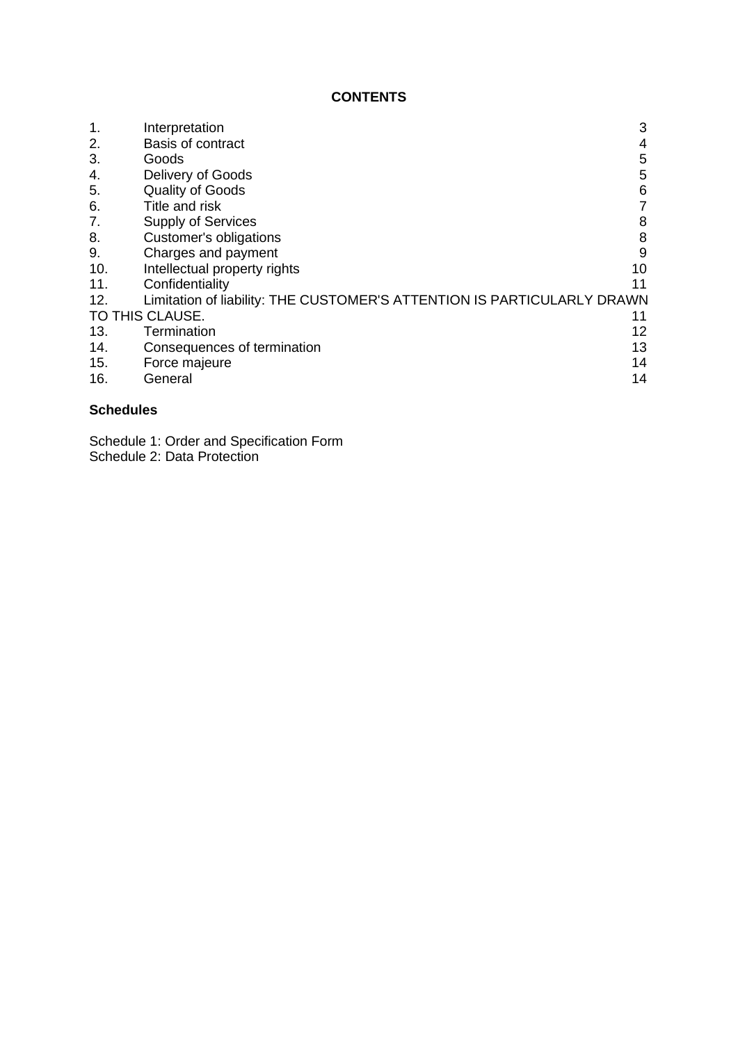# **CONTENTS**

| 1.  | Interpretation                                                          | 3  |
|-----|-------------------------------------------------------------------------|----|
|     |                                                                         |    |
| 2.  | <b>Basis of contract</b>                                                | 4  |
| 3.  | Goods                                                                   | 5  |
| 4.  | Delivery of Goods                                                       | 5  |
| 5.  | <b>Quality of Goods</b>                                                 | 6  |
| 6.  | Title and risk                                                          |    |
| 7.  | <b>Supply of Services</b>                                               | 8  |
| 8.  | Customer's obligations                                                  | 8  |
| 9.  | Charges and payment                                                     | 9  |
| 10. | Intellectual property rights                                            | 10 |
| 11. | Confidentiality                                                         | 11 |
| 12. | Limitation of liability: THE CUSTOMER'S ATTENTION IS PARTICULARLY DRAWN |    |
|     | TO THIS CLAUSE.                                                         | 11 |
| 13. | Termination                                                             | 12 |
| 14. | Consequences of termination                                             | 13 |
| 15. | Force majeure                                                           | 14 |
| 16. | General                                                                 | 14 |
|     |                                                                         |    |

# **Schedules**

Schedule 1: Order and Specification Form Schedule 2: Data Protection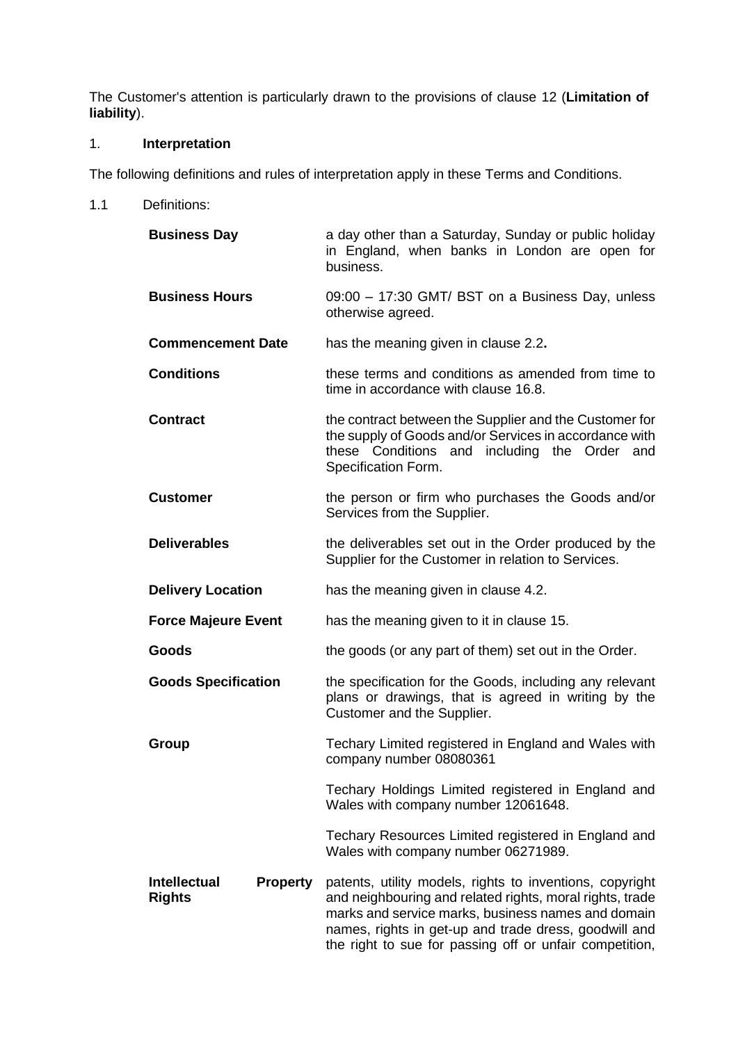The Customer's attention is particularly drawn to the provisions of clause [12](#page-10-0) (**Limitation of liability**).

# 1. **Interpretation**

The following definitions and rules of interpretation apply in these Terms and Conditions.

1.1 Definitions:

| <b>Business Day</b>                                     | a day other than a Saturday, Sunday or public holiday<br>in England, when banks in London are open for<br>business.                                                                                                                                                                            |
|---------------------------------------------------------|------------------------------------------------------------------------------------------------------------------------------------------------------------------------------------------------------------------------------------------------------------------------------------------------|
| <b>Business Hours</b>                                   | 09:00 - 17:30 GMT/ BST on a Business Day, unless<br>otherwise agreed.                                                                                                                                                                                                                          |
| <b>Commencement Date</b>                                | has the meaning given in clause 2.2.                                                                                                                                                                                                                                                           |
| <b>Conditions</b>                                       | these terms and conditions as amended from time to<br>time in accordance with clause 16.8.                                                                                                                                                                                                     |
| <b>Contract</b>                                         | the contract between the Supplier and the Customer for<br>the supply of Goods and/or Services in accordance with<br>these Conditions and including the Order and<br>Specification Form.                                                                                                        |
| <b>Customer</b>                                         | the person or firm who purchases the Goods and/or<br>Services from the Supplier.                                                                                                                                                                                                               |
| <b>Deliverables</b>                                     | the deliverables set out in the Order produced by the<br>Supplier for the Customer in relation to Services.                                                                                                                                                                                    |
| <b>Delivery Location</b>                                | has the meaning given in clause 4.2.                                                                                                                                                                                                                                                           |
| <b>Force Majeure Event</b>                              | has the meaning given to it in clause 15.                                                                                                                                                                                                                                                      |
| Goods                                                   | the goods (or any part of them) set out in the Order.                                                                                                                                                                                                                                          |
| <b>Goods Specification</b>                              | the specification for the Goods, including any relevant<br>plans or drawings, that is agreed in writing by the<br>Customer and the Supplier.                                                                                                                                                   |
| Group                                                   | Techary Limited registered in England and Wales with<br>company number 08080361                                                                                                                                                                                                                |
|                                                         | Techary Holdings Limited registered in England and<br>Wales with company number 12061648.                                                                                                                                                                                                      |
|                                                         | Techary Resources Limited registered in England and<br>Wales with company number 06271989.                                                                                                                                                                                                     |
| <b>Intellectual</b><br><b>Property</b><br><b>Rights</b> | patents, utility models, rights to inventions, copyright<br>and neighbouring and related rights, moral rights, trade<br>marks and service marks, business names and domain<br>names, rights in get-up and trade dress, goodwill and<br>the right to sue for passing off or unfair competition, |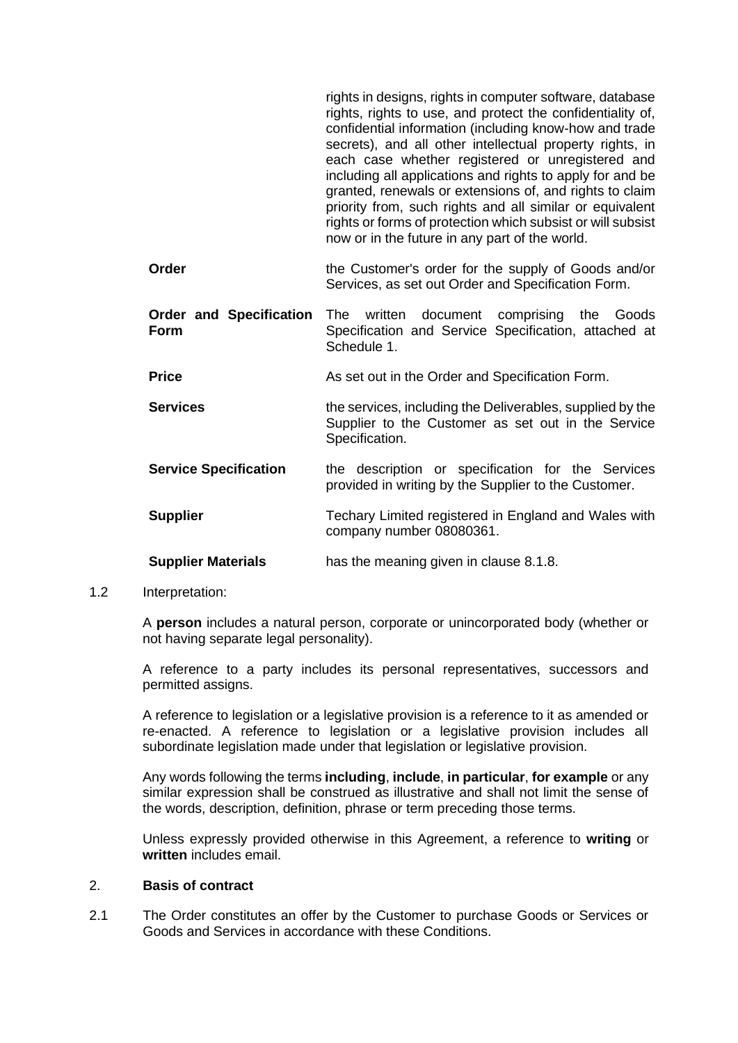|                                               | rights in designs, rights in computer software, database<br>rights, rights to use, and protect the confidentiality of,<br>confidential information (including know-how and trade<br>secrets), and all other intellectual property rights, in<br>each case whether registered or unregistered and<br>including all applications and rights to apply for and be<br>granted, renewals or extensions of, and rights to claim<br>priority from, such rights and all similar or equivalent<br>rights or forms of protection which subsist or will subsist<br>now or in the future in any part of the world. |
|-----------------------------------------------|-------------------------------------------------------------------------------------------------------------------------------------------------------------------------------------------------------------------------------------------------------------------------------------------------------------------------------------------------------------------------------------------------------------------------------------------------------------------------------------------------------------------------------------------------------------------------------------------------------|
| Order                                         | the Customer's order for the supply of Goods and/or<br>Services, as set out Order and Specification Form.                                                                                                                                                                                                                                                                                                                                                                                                                                                                                             |
| <b>Order and Specification</b><br><b>Form</b> | written<br>document comprising the<br>The T<br>Goods<br>Specification and Service Specification, attached at<br>Schedule 1.                                                                                                                                                                                                                                                                                                                                                                                                                                                                           |
| <b>Price</b>                                  | As set out in the Order and Specification Form.                                                                                                                                                                                                                                                                                                                                                                                                                                                                                                                                                       |
| <b>Services</b>                               | the services, including the Deliverables, supplied by the<br>Supplier to the Customer as set out in the Service<br>Specification.                                                                                                                                                                                                                                                                                                                                                                                                                                                                     |
| <b>Service Specification</b>                  | the description or specification for the Services<br>provided in writing by the Supplier to the Customer.                                                                                                                                                                                                                                                                                                                                                                                                                                                                                             |
| <b>Supplier</b>                               | Techary Limited registered in England and Wales with<br>company number 08080361.                                                                                                                                                                                                                                                                                                                                                                                                                                                                                                                      |
| <b>Supplier Materials</b>                     | has the meaning given in clause 8.1.8.                                                                                                                                                                                                                                                                                                                                                                                                                                                                                                                                                                |

1.2 Interpretation:

A **person** includes a natural person, corporate or unincorporated body (whether or not having separate legal personality).

A reference to a party includes its personal representatives, successors and permitted assigns.

A reference to legislation or a legislative provision is a reference to it as amended or re-enacted. A reference to legislation or a legislative provision includes all subordinate legislation made under that legislation or legislative provision.

Any words following the terms **including**, **include**, **in particular**, **for example** or any similar expression shall be construed as illustrative and shall not limit the sense of the words, description, definition, phrase or term preceding those terms.

Unless expressly provided otherwise in this Agreement, a reference to **writing** or **written** includes email.

#### 2. **Basis of contract**

2.1 The Order constitutes an offer by the Customer to purchase Goods or Services or Goods and Services in accordance with these Conditions.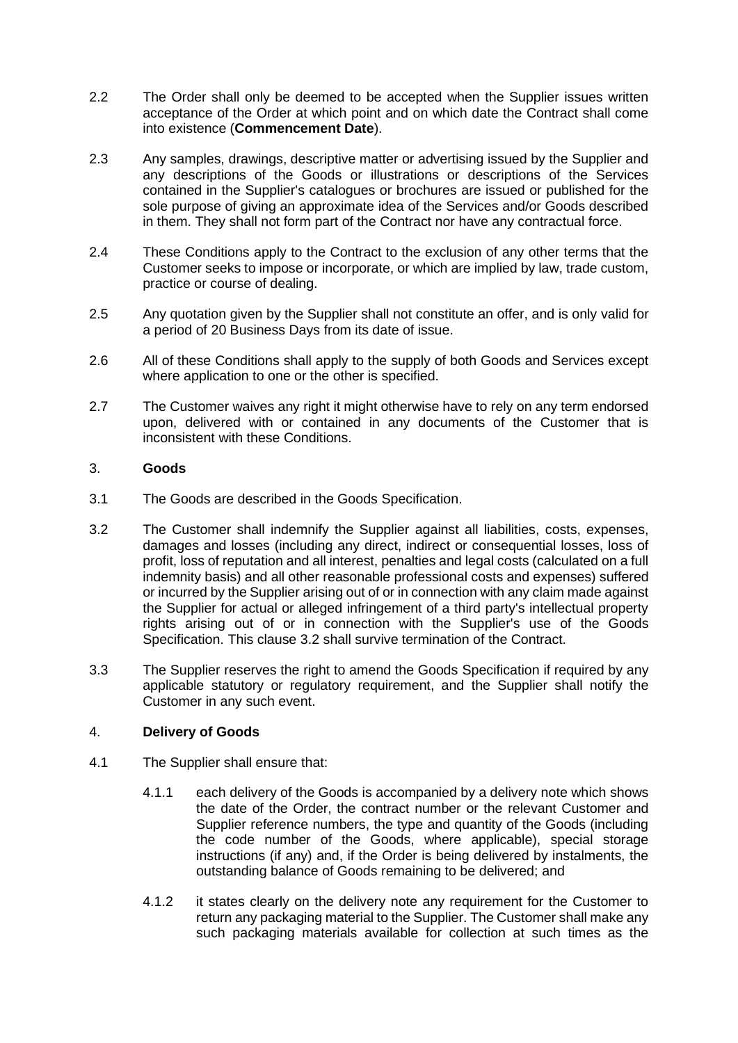- <span id="page-4-0"></span>2.2 The Order shall only be deemed to be accepted when the Supplier issues written acceptance of the Order at which point and on which date the Contract shall come into existence (**Commencement Date**).
- 2.3 Any samples, drawings, descriptive matter or advertising issued by the Supplier and any descriptions of the Goods or illustrations or descriptions of the Services contained in the Supplier's catalogues or brochures are issued or published for the sole purpose of giving an approximate idea of the Services and/or Goods described in them. They shall not form part of the Contract nor have any contractual force.
- 2.4 These Conditions apply to the Contract to the exclusion of any other terms that the Customer seeks to impose or incorporate, or which are implied by law, trade custom, practice or course of dealing.
- 2.5 Any quotation given by the Supplier shall not constitute an offer, and is only valid for a period of 20 Business Days from its date of issue.
- 2.6 All of these Conditions shall apply to the supply of both Goods and Services except where application to one or the other is specified.
- 2.7 The Customer waives any right it might otherwise have to rely on any term endorsed upon, delivered with or contained in any documents of the Customer that is inconsistent with these Conditions.

# 3. **Goods**

- 3.1 The Goods are described in the Goods Specification.
- <span id="page-4-1"></span>3.2 The Customer shall indemnify the Supplier against all liabilities, costs, expenses, damages and losses (including any direct, indirect or consequential losses, loss of profit, loss of reputation and all interest, penalties and legal costs (calculated on a full indemnity basis) and all other reasonable professional costs and expenses) suffered or incurred by the Supplier arising out of or in connection with any claim made against the Supplier for actual or alleged infringement of a third party's intellectual property rights arising out of or in connection with the Supplier's use of the Goods Specification. This clause [3.2](#page-4-1) shall survive termination of the Contract.
- 3.3 The Supplier reserves the right to amend the Goods Specification if required by any applicable statutory or regulatory requirement, and the Supplier shall notify the Customer in any such event.

# 4. **Delivery of Goods**

- 4.1 The Supplier shall ensure that:
	- 4.1.1 each delivery of the Goods is accompanied by a delivery note which shows the date of the Order, the contract number or the relevant Customer and Supplier reference numbers, the type and quantity of the Goods (including the code number of the Goods, where applicable), special storage instructions (if any) and, if the Order is being delivered by instalments, the outstanding balance of Goods remaining to be delivered; and
	- 4.1.2 it states clearly on the delivery note any requirement for the Customer to return any packaging material to the Supplier. The Customer shall make any such packaging materials available for collection at such times as the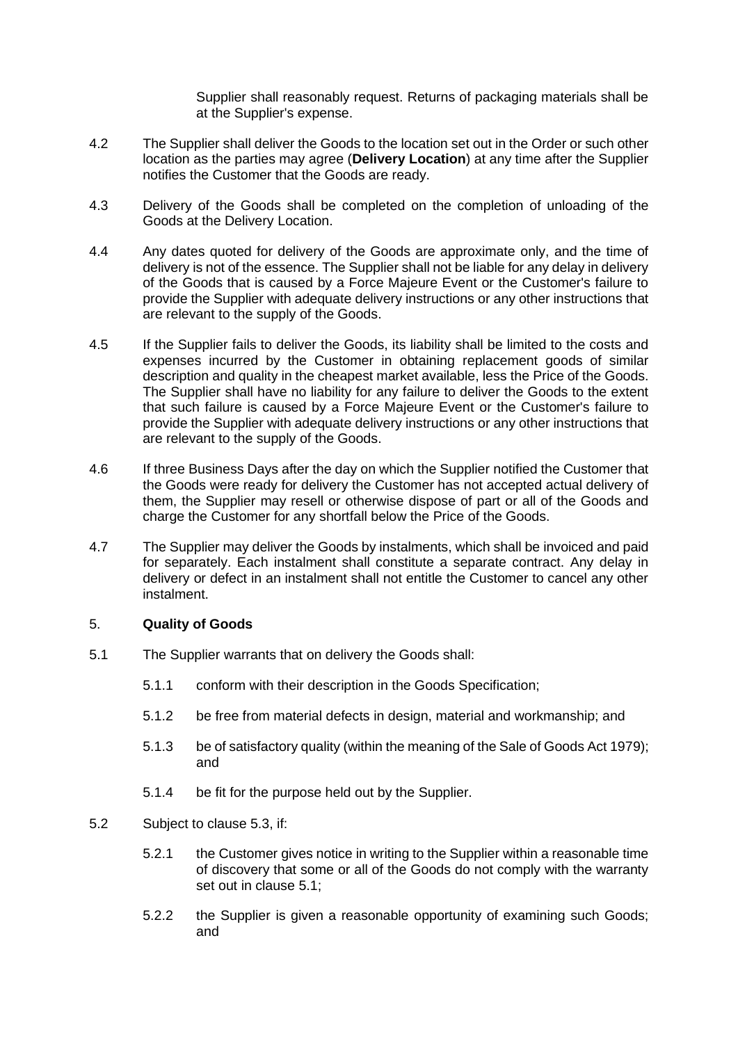Supplier shall reasonably request. Returns of packaging materials shall be at the Supplier's expense.

- <span id="page-5-0"></span>4.2 The Supplier shall deliver the Goods to the location set out in the Order or such other location as the parties may agree (**Delivery Location**) at any time after the Supplier notifies the Customer that the Goods are ready.
- 4.3 Delivery of the Goods shall be completed on the completion of unloading of the Goods at the Delivery Location.
- 4.4 Any dates quoted for delivery of the Goods are approximate only, and the time of delivery is not of the essence. The Supplier shall not be liable for any delay in delivery of the Goods that is caused by a Force Majeure Event or the Customer's failure to provide the Supplier with adequate delivery instructions or any other instructions that are relevant to the supply of the Goods.
- 4.5 If the Supplier fails to deliver the Goods, its liability shall be limited to the costs and expenses incurred by the Customer in obtaining replacement goods of similar description and quality in the cheapest market available, less the Price of the Goods. The Supplier shall have no liability for any failure to deliver the Goods to the extent that such failure is caused by a Force Majeure Event or the Customer's failure to provide the Supplier with adequate delivery instructions or any other instructions that are relevant to the supply of the Goods.
- 4.6 If three Business Days after the day on which the Supplier notified the Customer that the Goods were ready for delivery the Customer has not accepted actual delivery of them, the Supplier may resell or otherwise dispose of part or all of the Goods and charge the Customer for any shortfall below the Price of the Goods.
- 4.7 The Supplier may deliver the Goods by instalments, which shall be invoiced and paid for separately. Each instalment shall constitute a separate contract. Any delay in delivery or defect in an instalment shall not entitle the Customer to cancel any other instalment.

#### <span id="page-5-3"></span>5. **Quality of Goods**

- <span id="page-5-1"></span>5.1 The Supplier warrants that on delivery the Goods shall:
	- 5.1.1 conform with their description in the Goods Specification;
	- 5.1.2 be free from material defects in design, material and workmanship; and
	- 5.1.3 be of satisfactory quality (within the meaning of the Sale of Goods Act 1979); and
	- 5.1.4 be fit for the purpose held out by the Supplier.
- <span id="page-5-2"></span>5.2 Subject to clause 5.3, if:
	- 5.2.1 the Customer gives notice in writing to the Supplier within a reasonable time of discovery that some or all of the Goods do not comply with the warranty set out in clause [5.1;](#page-5-1)
	- 5.2.2 the Supplier is given a reasonable opportunity of examining such Goods; and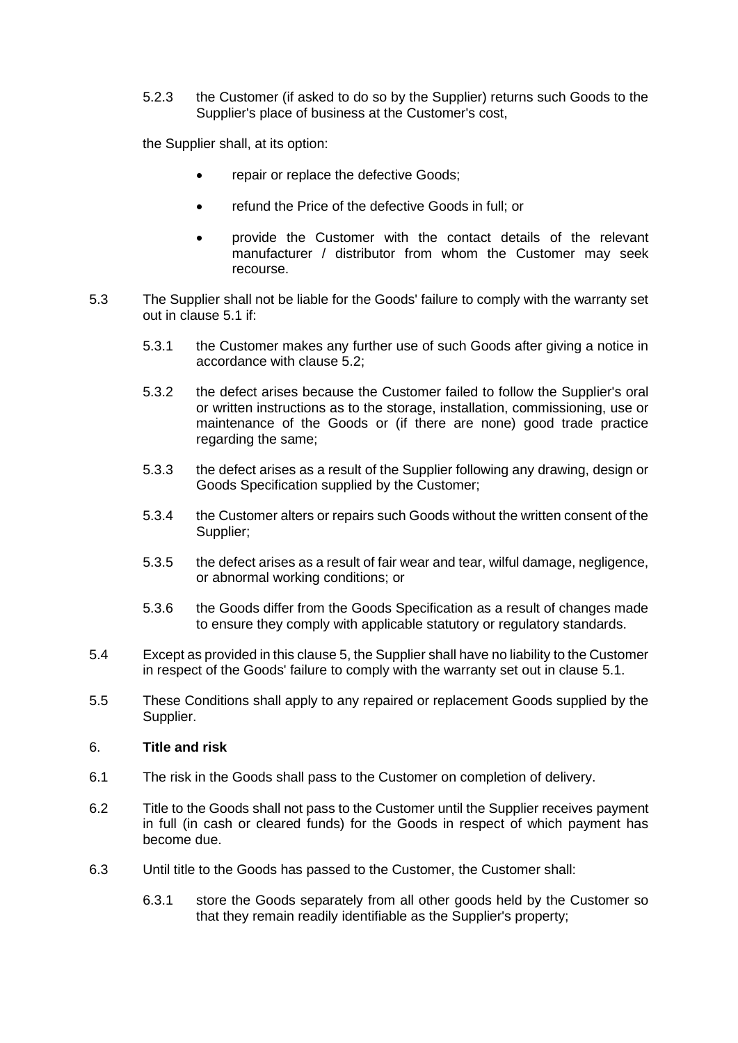5.2.3 the Customer (if asked to do so by the Supplier) returns such Goods to the Supplier's place of business at the Customer's cost,

the Supplier shall, at its option:

- repair or replace the defective Goods;
- refund the Price of the defective Goods in full; or
- provide the Customer with the contact details of the relevant manufacturer / distributor from whom the Customer may seek recourse.
- 5.3 The Supplier shall not be liable for the Goods' failure to comply with the warranty set out in clause [5.1](#page-5-1) if:
	- 5.3.1 the Customer makes any further use of such Goods after giving a notice in accordance with clause [5.2;](#page-5-2)
	- 5.3.2 the defect arises because the Customer failed to follow the Supplier's oral or written instructions as to the storage, installation, commissioning, use or maintenance of the Goods or (if there are none) good trade practice regarding the same;
	- 5.3.3 the defect arises as a result of the Supplier following any drawing, design or Goods Specification supplied by the Customer;
	- 5.3.4 the Customer alters or repairs such Goods without the written consent of the Supplier;
	- 5.3.5 the defect arises as a result of fair wear and tear, wilful damage, negligence, or abnormal working conditions; or
	- 5.3.6 the Goods differ from the Goods Specification as a result of changes made to ensure they comply with applicable statutory or regulatory standards.
- 5.4 Except as provided in this clause [5,](#page-5-3) the Supplier shall have no liability to the Customer in respect of the Goods' failure to comply with the warranty set out in clause [5.1.](#page-5-1)
- 5.5 These Conditions shall apply to any repaired or replacement Goods supplied by the Supplier.

# 6. **Title and risk**

- 6.1 The risk in the Goods shall pass to the Customer on completion of delivery.
- 6.2 Title to the Goods shall not pass to the Customer until the Supplier receives payment in full (in cash or cleared funds) for the Goods in respect of which payment has become due.
- 6.3 Until title to the Goods has passed to the Customer, the Customer shall:
	- 6.3.1 store the Goods separately from all other goods held by the Customer so that they remain readily identifiable as the Supplier's property;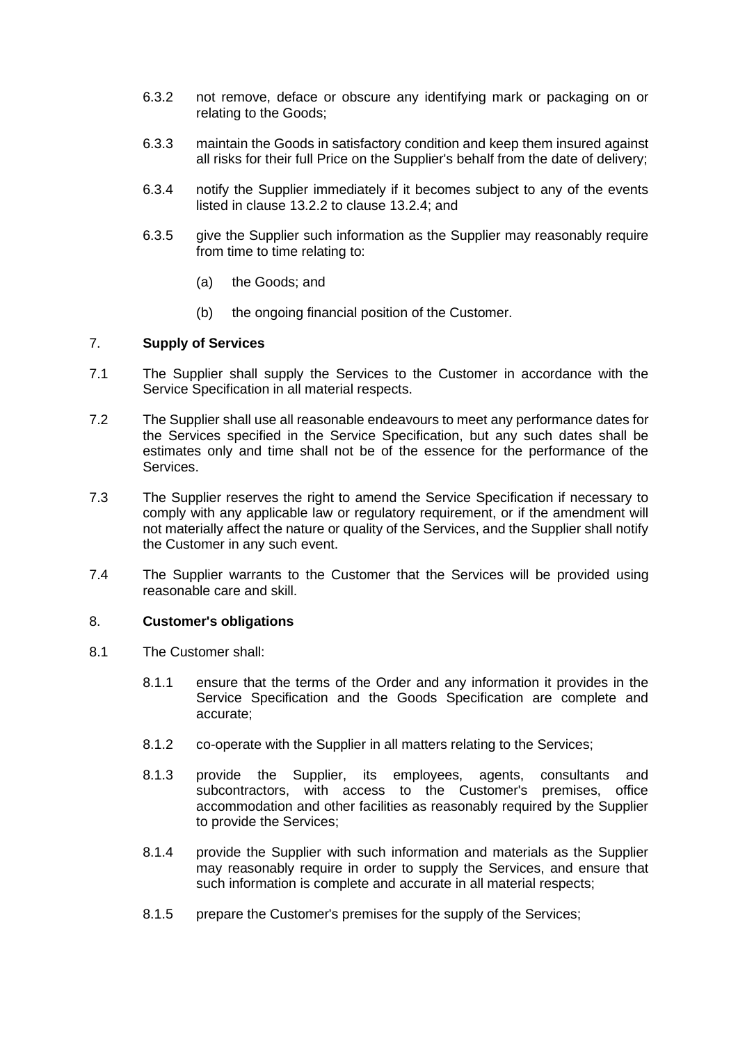- 6.3.2 not remove, deface or obscure any identifying mark or packaging on or relating to the Goods;
- 6.3.3 maintain the Goods in satisfactory condition and keep them insured against all risks for their full Price on the Supplier's behalf from the date of delivery;
- 6.3.4 notify the Supplier immediately if it becomes subject to any of the events listed in clause [13.2.2](#page-12-0) to clause [13.2.4;](#page-12-1) and
- 6.3.5 give the Supplier such information as the Supplier may reasonably require from time to time relating to:
	- (a) the Goods; and
	- (b) the ongoing financial position of the Customer.

### <span id="page-7-0"></span>7. **Supply of Services**

- 7.1 The Supplier shall supply the Services to the Customer in accordance with the Service Specification in all material respects.
- 7.2 The Supplier shall use all reasonable endeavours to meet any performance dates for the Services specified in the Service Specification, but any such dates shall be estimates only and time shall not be of the essence for the performance of the Services.
- 7.3 The Supplier reserves the right to amend the Service Specification if necessary to comply with any applicable law or regulatory requirement, or if the amendment will not materially affect the nature or quality of the Services, and the Supplier shall notify the Customer in any such event.
- 7.4 The Supplier warrants to the Customer that the Services will be provided using reasonable care and skill.

#### 8. **Customer's obligations**

- 8.1 The Customer shall:
	- 8.1.1 ensure that the terms of the Order and any information it provides in the Service Specification and the Goods Specification are complete and accurate;
	- 8.1.2 co-operate with the Supplier in all matters relating to the Services;
	- 8.1.3 provide the Supplier, its employees, agents, consultants and subcontractors, with access to the Customer's premises, office accommodation and other facilities as reasonably required by the Supplier to provide the Services;
	- 8.1.4 provide the Supplier with such information and materials as the Supplier may reasonably require in order to supply the Services, and ensure that such information is complete and accurate in all material respects;
	- 8.1.5 prepare the Customer's premises for the supply of the Services;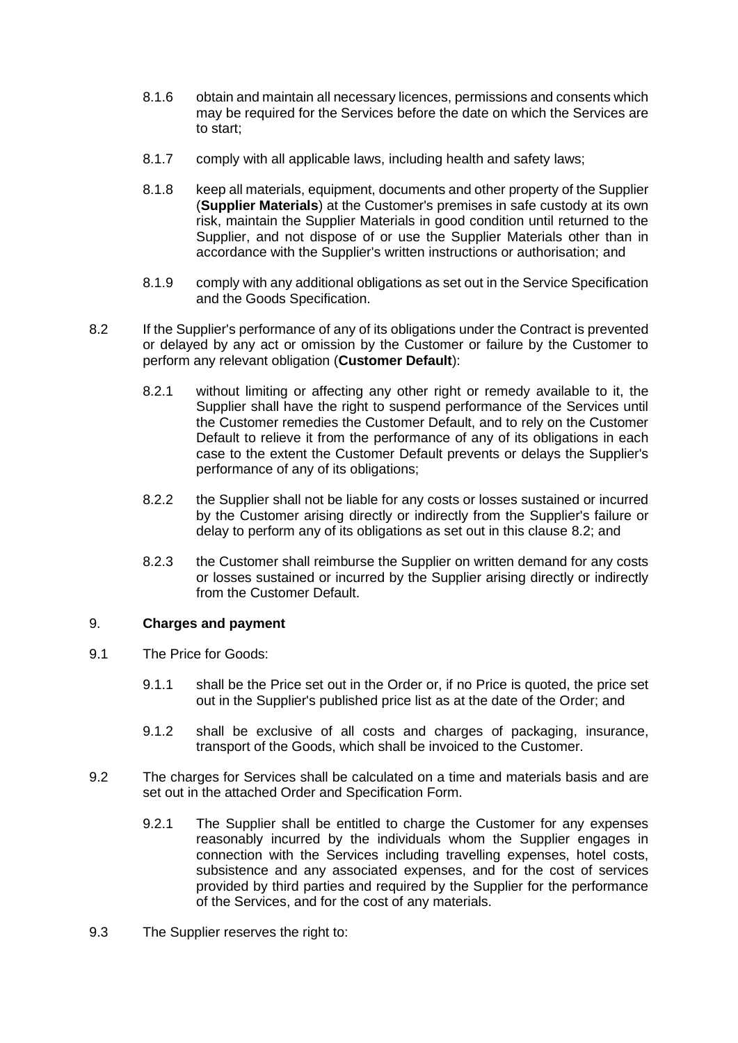- 8.1.6 obtain and maintain all necessary licences, permissions and consents which may be required for the Services before the date on which the Services are to start;
- 8.1.7 comply with all applicable laws, including health and safety laws;
- <span id="page-8-0"></span>8.1.8 keep all materials, equipment, documents and other property of the Supplier (**Supplier Materials**) at the Customer's premises in safe custody at its own risk, maintain the Supplier Materials in good condition until returned to the Supplier, and not dispose of or use the Supplier Materials other than in accordance with the Supplier's written instructions or authorisation; and
- 8.1.9 comply with any additional obligations as set out in the Service Specification and the Goods Specification.
- <span id="page-8-1"></span>8.2 If the Supplier's performance of any of its obligations under the Contract is prevented or delayed by any act or omission by the Customer or failure by the Customer to perform any relevant obligation (**Customer Default**):
	- 8.2.1 without limiting or affecting any other right or remedy available to it, the Supplier shall have the right to suspend performance of the Services until the Customer remedies the Customer Default, and to rely on the Customer Default to relieve it from the performance of any of its obligations in each case to the extent the Customer Default prevents or delays the Supplier's performance of any of its obligations;
	- 8.2.2 the Supplier shall not be liable for any costs or losses sustained or incurred by the Customer arising directly or indirectly from the Supplier's failure or delay to perform any of its obligations as set out in this clause [8.2;](#page-8-1) and
	- 8.2.3 the Customer shall reimburse the Supplier on written demand for any costs or losses sustained or incurred by the Supplier arising directly or indirectly from the Customer Default.

# 9. **Charges and payment**

- 9.1 The Price for Goods:
	- 9.1.1 shall be the Price set out in the Order or, if no Price is quoted, the price set out in the Supplier's published price list as at the date of the Order; and
	- 9.1.2 shall be exclusive of all costs and charges of packaging, insurance, transport of the Goods, which shall be invoiced to the Customer.
- 9.2 The charges for Services shall be calculated on a time and materials basis and are set out in the attached Order and Specification Form.
	- 9.2.1 The Supplier shall be entitled to charge the Customer for any expenses reasonably incurred by the individuals whom the Supplier engages in connection with the Services including travelling expenses, hotel costs, subsistence and any associated expenses, and for the cost of services provided by third parties and required by the Supplier for the performance of the Services, and for the cost of any materials.
- 9.3 The Supplier reserves the right to: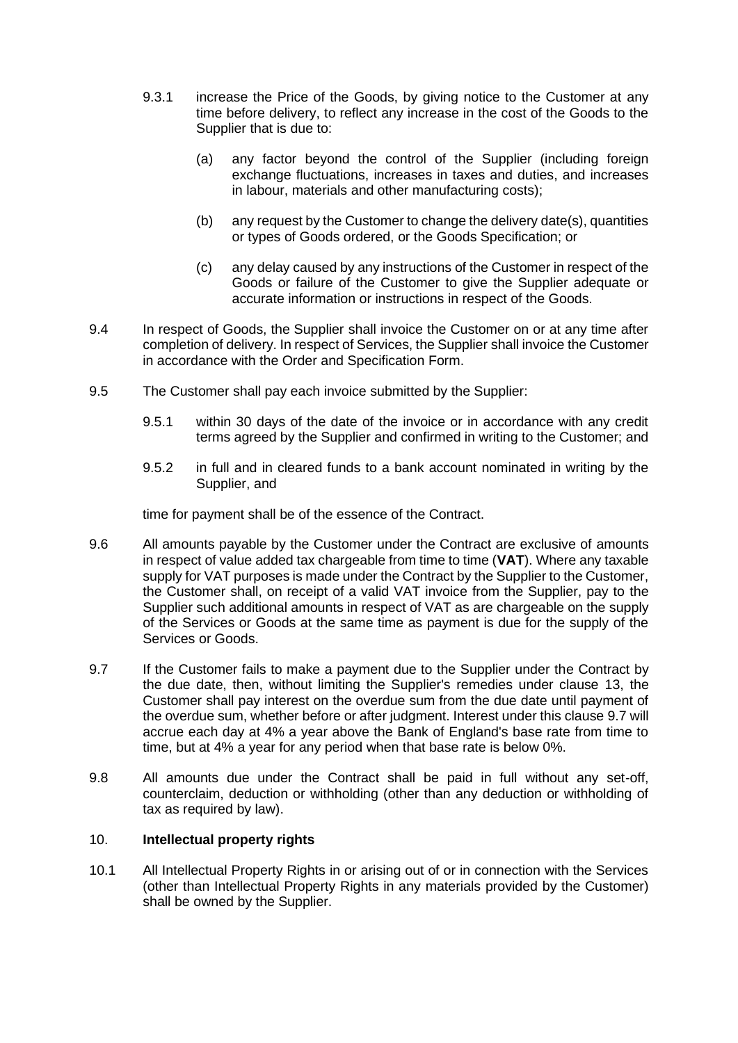- 9.3.1 increase the Price of the Goods, by giving notice to the Customer at any time before delivery, to reflect any increase in the cost of the Goods to the Supplier that is due to:
	- (a) any factor beyond the control of the Supplier (including foreign exchange fluctuations, increases in taxes and duties, and increases in labour, materials and other manufacturing costs);
	- (b) any request by the Customer to change the delivery date(s), quantities or types of Goods ordered, or the Goods Specification; or
	- (c) any delay caused by any instructions of the Customer in respect of the Goods or failure of the Customer to give the Supplier adequate or accurate information or instructions in respect of the Goods.
- 9.4 In respect of Goods, the Supplier shall invoice the Customer on or at any time after completion of delivery. In respect of Services, the Supplier shall invoice the Customer in accordance with the Order and Specification Form.
- 9.5 The Customer shall pay each invoice submitted by the Supplier:
	- 9.5.1 within 30 days of the date of the invoice or in accordance with any credit terms agreed by the Supplier and confirmed in writing to the Customer; and
	- 9.5.2 in full and in cleared funds to a bank account nominated in writing by the Supplier, and

time for payment shall be of the essence of the Contract.

- 9.6 All amounts payable by the Customer under the Contract are exclusive of amounts in respect of value added tax chargeable from time to time (**VAT**). Where any taxable supply for VAT purposes is made under the Contract by the Supplier to the Customer, the Customer shall, on receipt of a valid VAT invoice from the Supplier, pay to the Supplier such additional amounts in respect of VAT as are chargeable on the supply of the Services or Goods at the same time as payment is due for the supply of the Services or Goods.
- <span id="page-9-0"></span>9.7 If the Customer fails to make a payment due to the Supplier under the Contract by the due date, then, without limiting the Supplier's remedies under clause [13,](#page-11-0) the Customer shall pay interest on the overdue sum from the due date until payment of the overdue sum, whether before or after judgment. Interest under this clause [9.7](#page-9-0) will accrue each day at 4% a year above the Bank of England's base rate from time to time, but at 4% a year for any period when that base rate is below 0%.
- 9.8 All amounts due under the Contract shall be paid in full without any set-off, counterclaim, deduction or withholding (other than any deduction or withholding of tax as required by law).

# 10. **Intellectual property rights**

10.1 All Intellectual Property Rights in or arising out of or in connection with the Services (other than Intellectual Property Rights in any materials provided by the Customer) shall be owned by the Supplier.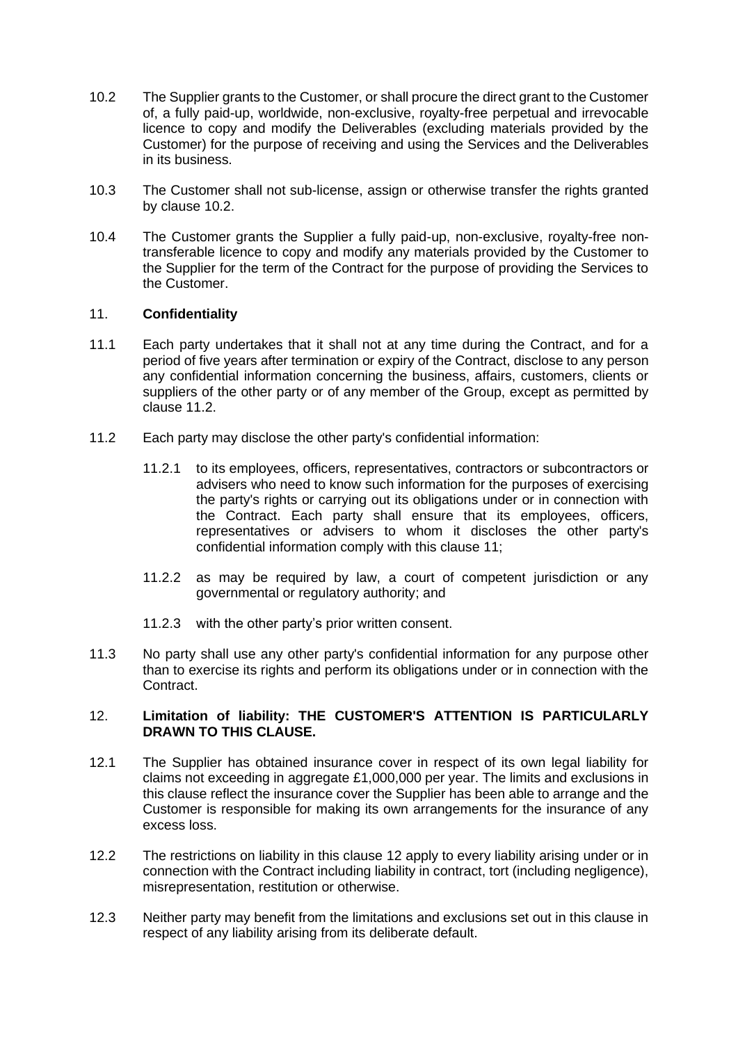- <span id="page-10-1"></span>10.2 The Supplier grants to the Customer, or shall procure the direct grant to the Customer of, a fully paid-up, worldwide, non-exclusive, royalty-free perpetual and irrevocable licence to copy and modify the Deliverables (excluding materials provided by the Customer) for the purpose of receiving and using the Services and the Deliverables in its business.
- 10.3 The Customer shall not sub-license, assign or otherwise transfer the rights granted by clause [10.2.](#page-10-1)
- 10.4 The Customer grants the Supplier a fully paid-up, non-exclusive, royalty-free nontransferable licence to copy and modify any materials provided by the Customer to the Supplier for the term of the Contract for the purpose of providing the Services to the Customer.

### <span id="page-10-3"></span>11. **Confidentiality**

- 11.1 Each party undertakes that it shall not at any time during the Contract, and for a period of five years after termination or expiry of the Contract, disclose to any person any confidential information concerning the business, affairs, customers, clients or suppliers of the other party or of any member of the Group, except as permitted by clause [11.2.](#page-10-2)
- <span id="page-10-2"></span>11.2 Each party may disclose the other party's confidential information:
	- 11.2.1 to its employees, officers, representatives, contractors or subcontractors or advisers who need to know such information for the purposes of exercising the party's rights or carrying out its obligations under or in connection with the Contract. Each party shall ensure that its employees, officers, representatives or advisers to whom it discloses the other party's confidential information comply with this clause [11;](#page-10-3)
	- 11.2.2 as may be required by law, a court of competent jurisdiction or any governmental or regulatory authority; and
	- 11.2.3 with the other party's prior written consent.
- 11.3 No party shall use any other party's confidential information for any purpose other than to exercise its rights and perform its obligations under or in connection with the Contract.

### <span id="page-10-0"></span>12. **Limitation of liability: THE CUSTOMER'S ATTENTION IS PARTICULARLY DRAWN TO THIS CLAUSE.**

- 12.1 The Supplier has obtained insurance cover in respect of its own legal liability for claims not exceeding in aggregate £1,000,000 per year. The limits and exclusions in this clause reflect the insurance cover the Supplier has been able to arrange and the Customer is responsible for making its own arrangements for the insurance of any excess loss.
- 12.2 The restrictions on liability in this clause [12](#page-10-0) apply to every liability arising under or in connection with the Contract including liability in contract, tort (including negligence), misrepresentation, restitution or otherwise.
- <span id="page-10-4"></span>12.3 Neither party may benefit from the limitations and exclusions set out in this clause in respect of any liability arising from its deliberate default.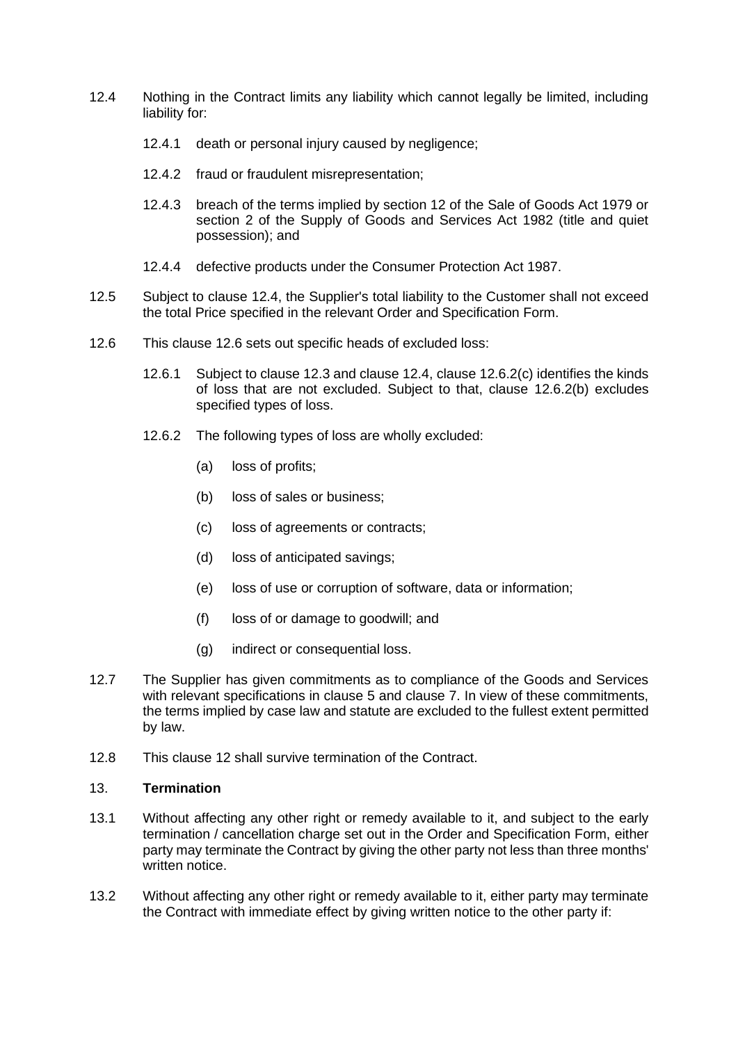- <span id="page-11-1"></span>12.4 Nothing in the Contract limits any liability which cannot legally be limited, including liability for:
	- 12.4.1 death or personal injury caused by negligence;
	- 12.4.2 fraud or fraudulent misrepresentation;
	- 12.4.3 breach of the terms implied by section 12 of the Sale of Goods Act 1979 or section 2 of the Supply of Goods and Services Act 1982 (title and quiet possession); and
	- 12.4.4 defective products under the Consumer Protection Act 1987.
- 12.5 Subject to clause [12.4,](#page-11-1) the Supplier's total liability to the Customer shall not exceed the total Price specified in the relevant Order and Specification Form.
- <span id="page-11-3"></span>12.6 This clause 12.6 sets out specific heads of excluded loss:
	- 12.6.1 Subject to clause [12.3](#page-10-4) and clause [12.4,](#page-11-1) clause [12.6.2\(c\)](#page-11-2) identifies the kinds of loss that are not excluded. Subject to that, clause [12.6.2\(b\)](#page-11-3) excludes specified types of loss.
	- 12.6.2 The following types of loss are wholly excluded:
		- (a) loss of profits;
		- (b) loss of sales or business;
		- (c) loss of agreements or contracts;
		- (d) loss of anticipated savings;
		- (e) loss of use or corruption of software, data or information;
		- (f) loss of or damage to goodwill; and
		- (g) indirect or consequential loss.
- <span id="page-11-2"></span>12.7 The Supplier has given commitments as to compliance of the Goods and Services with relevant specifications in clause [5](#page-5-3) and clause [7.](#page-7-0) In view of these commitments, the terms implied by case law and statute are excluded to the fullest extent permitted by law.
- 12.8 This clause [12](#page-10-0) shall survive termination of the Contract.

#### <span id="page-11-0"></span>13. **Termination**

- 13.1 Without affecting any other right or remedy available to it, and subject to the early termination / cancellation charge set out in the Order and Specification Form, either party may terminate the Contract by giving the other party not less than three months' written notice.
- 13.2 Without affecting any other right or remedy available to it, either party may terminate the Contract with immediate effect by giving written notice to the other party if: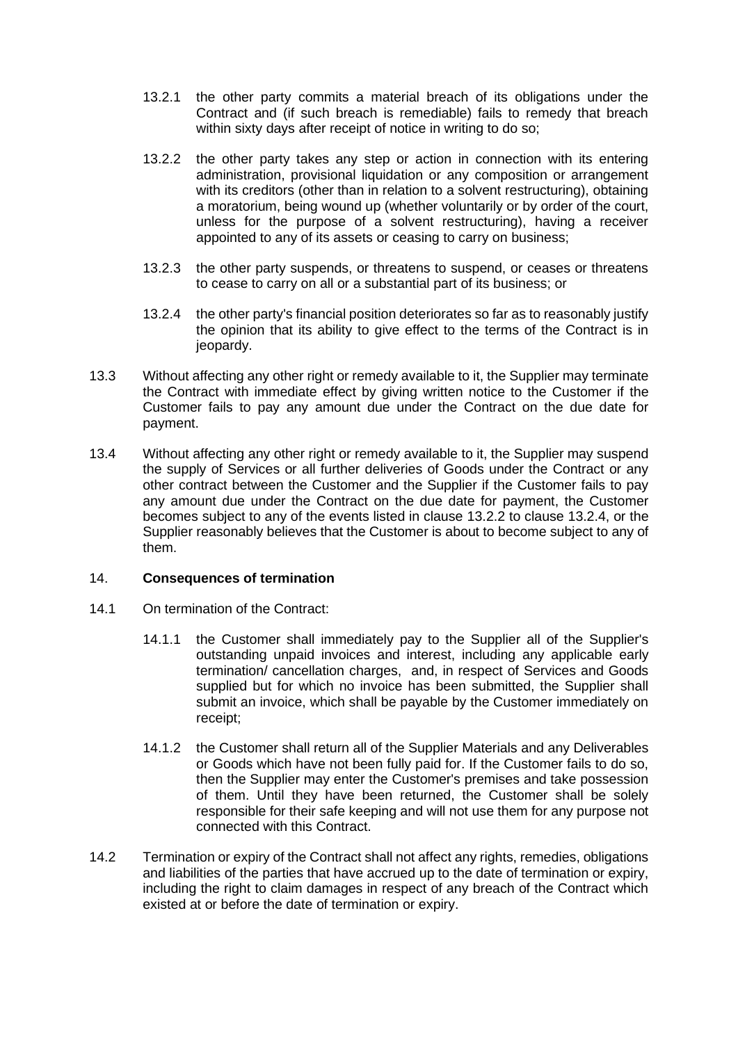- 13.2.1 the other party commits a material breach of its obligations under the Contract and (if such breach is remediable) fails to remedy that breach within sixty days after receipt of notice in writing to do so;
- <span id="page-12-0"></span>13.2.2 the other party takes any step or action in connection with its entering administration, provisional liquidation or any composition or arrangement with its creditors (other than in relation to a solvent restructuring), obtaining a moratorium, being wound up (whether voluntarily or by order of the court, unless for the purpose of a solvent restructuring), having a receiver appointed to any of its assets or ceasing to carry on business;
- 13.2.3 the other party suspends, or threatens to suspend, or ceases or threatens to cease to carry on all or a substantial part of its business; or
- <span id="page-12-1"></span>13.2.4 the other party's financial position deteriorates so far as to reasonably justify the opinion that its ability to give effect to the terms of the Contract is in jeopardy.
- 13.3 Without affecting any other right or remedy available to it, the Supplier may terminate the Contract with immediate effect by giving written notice to the Customer if the Customer fails to pay any amount due under the Contract on the due date for payment.
- 13.4 Without affecting any other right or remedy available to it, the Supplier may suspend the supply of Services or all further deliveries of Goods under the Contract or any other contract between the Customer and the Supplier if the Customer fails to pay any amount due under the Contract on the due date for payment, the Customer becomes subject to any of the events listed in clause [13.2.2](#page-12-0) to clause [13.2.4,](#page-12-1) or the Supplier reasonably believes that the Customer is about to become subject to any of them.

# 14. **Consequences of termination**

- 14.1 On termination of the Contract:
	- 14.1.1 the Customer shall immediately pay to the Supplier all of the Supplier's outstanding unpaid invoices and interest, including any applicable early termination/ cancellation charges, and, in respect of Services and Goods supplied but for which no invoice has been submitted, the Supplier shall submit an invoice, which shall be payable by the Customer immediately on receipt;
	- 14.1.2 the Customer shall return all of the Supplier Materials and any Deliverables or Goods which have not been fully paid for. If the Customer fails to do so, then the Supplier may enter the Customer's premises and take possession of them. Until they have been returned, the Customer shall be solely responsible for their safe keeping and will not use them for any purpose not connected with this Contract.
- 14.2 Termination or expiry of the Contract shall not affect any rights, remedies, obligations and liabilities of the parties that have accrued up to the date of termination or expiry, including the right to claim damages in respect of any breach of the Contract which existed at or before the date of termination or expiry.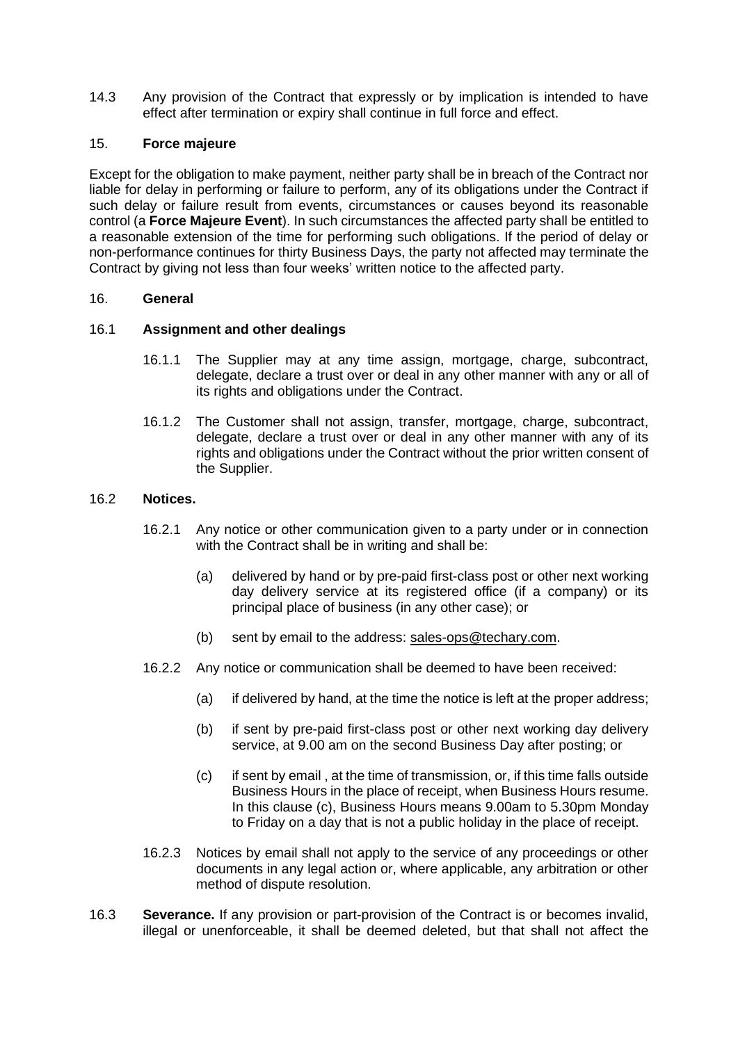14.3 Any provision of the Contract that expressly or by implication is intended to have effect after termination or expiry shall continue in full force and effect.

## <span id="page-13-0"></span>15. **Force majeure**

Except for the obligation to make payment, neither party shall be in breach of the Contract nor liable for delay in performing or failure to perform, any of its obligations under the Contract if such delay or failure result from events, circumstances or causes beyond its reasonable control (a **Force Majeure Event**). In such circumstances the affected party shall be entitled to a reasonable extension of the time for performing such obligations. If the period of delay or non-performance continues for thirty Business Days, the party not affected may terminate the Contract by giving not less than four weeks' written notice to the affected party.

### 16. **General**

### 16.1 **Assignment and other dealings**

- 16.1.1 The Supplier may at any time assign, mortgage, charge, subcontract, delegate, declare a trust over or deal in any other manner with any or all of its rights and obligations under the Contract.
- 16.1.2 The Customer shall not assign, transfer, mortgage, charge, subcontract, delegate, declare a trust over or deal in any other manner with any of its rights and obligations under the Contract without the prior written consent of the Supplier.

### 16.2 **Notices.**

- 16.2.1 Any notice or other communication given to a party under or in connection with the Contract shall be in writing and shall be:
	- (a) delivered by hand or by pre-paid first-class post or other next working day delivery service at its registered office (if a company) or its principal place of business (in any other case); or
	- (b) sent by email to the address: [sales-ops@techary.com.](mailto:sales-ops@techary.com)
- 16.2.2 Any notice or communication shall be deemed to have been received:
	- (a) if delivered by hand, at the time the notice is left at the proper address;
	- (b) if sent by pre-paid first-class post or other next working day delivery service, at 9.00 am on the second Business Day after posting; or
	- (c) if sent by email , at the time of transmission, or, if this time falls outside Business Hours in the place of receipt, when Business Hours resume. In this clause (c), Business Hours means 9.00am to 5.30pm Monday to Friday on a day that is not a public holiday in the place of receipt.
- 16.2.3 Notices by email shall not apply to the service of any proceedings or other documents in any legal action or, where applicable, any arbitration or other method of dispute resolution.
- <span id="page-13-1"></span>16.3 **Severance.** If any provision or part-provision of the Contract is or becomes invalid, illegal or unenforceable, it shall be deemed deleted, but that shall not affect the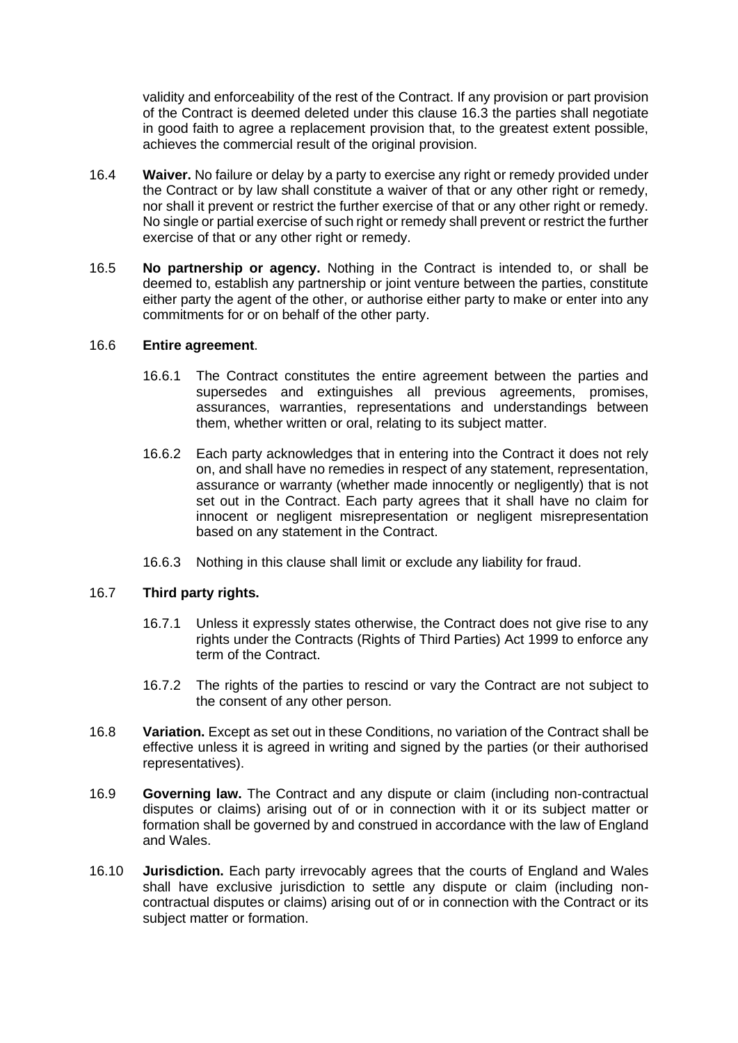validity and enforceability of the rest of the Contract. If any provision or part provision of the Contract is deemed deleted under this clause [16.3](#page-13-1) the parties shall negotiate in good faith to agree a replacement provision that, to the greatest extent possible, achieves the commercial result of the original provision.

- 16.4 **Waiver.** No failure or delay by a party to exercise any right or remedy provided under the Contract or by law shall constitute a waiver of that or any other right or remedy, nor shall it prevent or restrict the further exercise of that or any other right or remedy. No single or partial exercise of such right or remedy shall prevent or restrict the further exercise of that or any other right or remedy.
- 16.5 **No partnership or agency.** Nothing in the Contract is intended to, or shall be deemed to, establish any partnership or joint venture between the parties, constitute either party the agent of the other, or authorise either party to make or enter into any commitments for or on behalf of the other party.

# 16.6 **Entire agreement**.

- 16.6.1 The Contract constitutes the entire agreement between the parties and supersedes and extinguishes all previous agreements, promises, assurances, warranties, representations and understandings between them, whether written or oral, relating to its subject matter.
- 16.6.2 Each party acknowledges that in entering into the Contract it does not rely on, and shall have no remedies in respect of any statement, representation, assurance or warranty (whether made innocently or negligently) that is not set out in the Contract. Each party agrees that it shall have no claim for innocent or negligent misrepresentation or negligent misrepresentation based on any statement in the Contract.
- 16.6.3 Nothing in this clause shall limit or exclude any liability for fraud.

# 16.7 **Third party rights.**

- 16.7.1 Unless it expressly states otherwise, the Contract does not give rise to any rights under the Contracts (Rights of Third Parties) Act 1999 to enforce any term of the Contract.
- 16.7.2 The rights of the parties to rescind or vary the Contract are not subject to the consent of any other person.
- <span id="page-14-0"></span>16.8 **Variation.** Except as set out in these Conditions, no variation of the Contract shall be effective unless it is agreed in writing and signed by the parties (or their authorised representatives).
- 16.9 **Governing law.** The Contract and any dispute or claim (including non-contractual disputes or claims) arising out of or in connection with it or its subject matter or formation shall be governed by and construed in accordance with the law of England and Wales.
- 16.10 **Jurisdiction.** Each party irrevocably agrees that the courts of England and Wales shall have exclusive jurisdiction to settle any dispute or claim (including noncontractual disputes or claims) arising out of or in connection with the Contract or its subject matter or formation.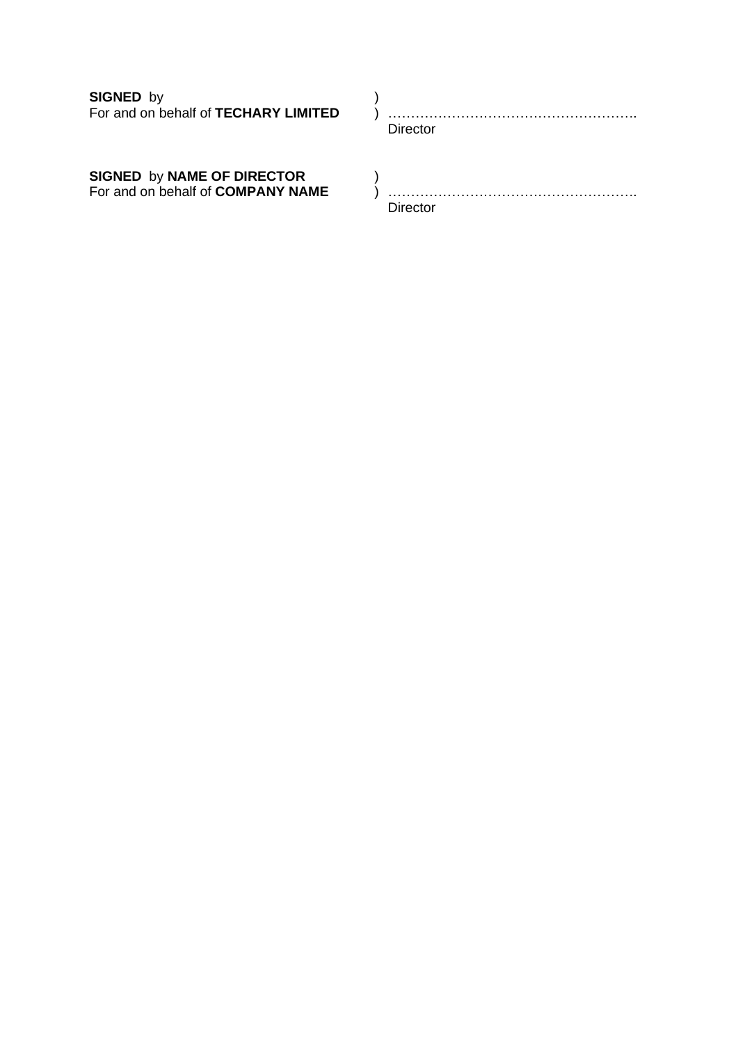**SIGNED** by <br>
For and on behalf of **TECHARY LIMITED**  $\qquad$  )

For and on behalf of **TECHARY LIMITED** ) ………………………………………………. Director

**SIGNED** by **NAME OF DIRECTOR** (b)<br>For and on behalf of **COMPANY NAME** (b)

For and on behalf of **COMPANY NAME** ) ………………………………………………. Director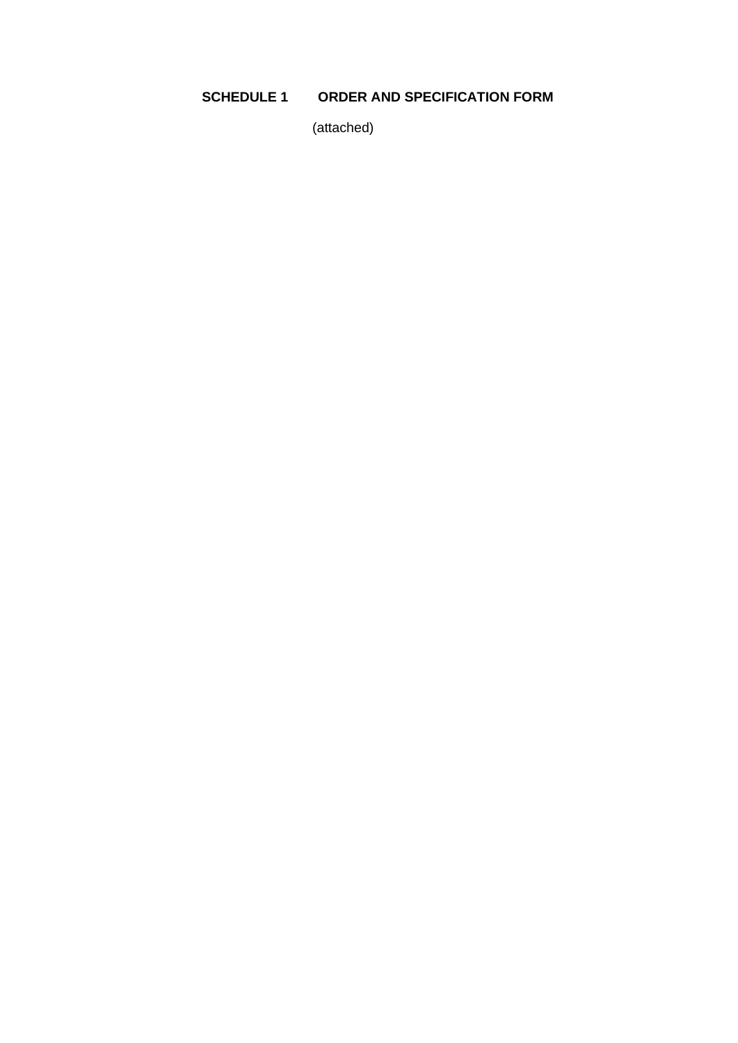# **SCHEDULE 1 ORDER AND SPECIFICATION FORM**

(attached)